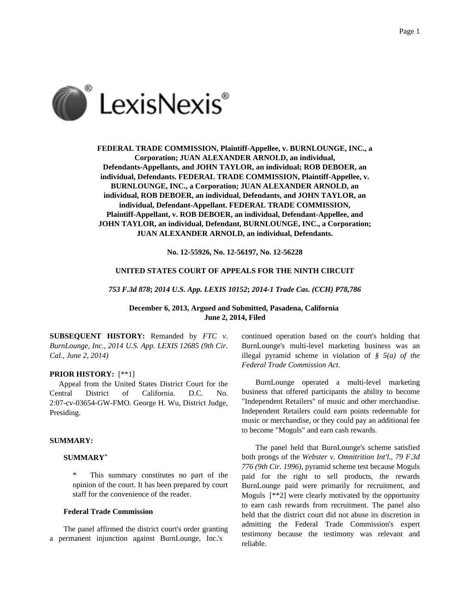

**FEDERAL TRADE COMMISSION, Plaintiff-Appellee, v. BURNLOUNGE, INC., a Corporation; JUAN ALEXANDER ARNOLD, an individual, Defendants-Appellants, and JOHN TAYLOR, an individual; ROB DEBOER, an individual, Defendants. FEDERAL TRADE COMMISSION, Plaintiff-Appellee, v. BURNLOUNGE, INC., a Corporation; JUAN ALEXANDER ARNOLD, an individual, ROB DEBOER, an individual, Defendants, and JOHN TAYLOR, an individual, Defendant-Appellant. FEDERAL TRADE COMMISSION, Plaintiff-Appellant, v. ROB DEBOER, an individual, Defendant-Appellee, and JOHN TAYLOR, an individual, Defendant, BURNLOUNGE, INC., a Corporation; JUAN ALEXANDER ARNOLD, an individual, Defendants.**

**No. 12-55926, No. 12-56197, No. 12-56228**

#### **UNITED STATES COURT OF APPEALS FOR THE NINTH CIRCUIT**

*753 F.3d 878***;** *2014 U.S. App. LEXIS 10152***;** *2014-1 Trade Cas. (CCH) P78,786*

**December 6, 2013, Argued and Submitted, Pasadena, California June 2, 2014, Filed**

**SUBSEQUENT HISTORY:** Remanded by *FTC v. BurnLounge, Inc., 2014 U.S. App. LEXIS 12685 (9th Cir. Cal., June 2, 2014)*

### **PRIOR HISTORY:** [\*\*1]

Appeal from the United States District Court for the Central District of California. D.C. No. 2:07-cv-03654-GW-FMO. George H. Wu, District Judge, Presiding.

## **SUMMARY:**

## **SUMMARY**\*

This summary constitutes no part of the opinion of the court. It has been prepared by court staff for the convenience of the reader.

## **Federal Trade Commission**

The panel affirmed the district court's order granting a permanent injunction against BurnLounge, Inc.'s

continued operation based on the court's holding that BurnLounge's multi-level marketing business was an illegal pyramid scheme in violation of *§ 5(a) of the Federal Trade Commission Act*.

BurnLounge operated a multi-level marketing business that offered participants the ability to become "Independent Retailers" of music and other merchandise. Independent Retailers could earn points redeemable for music or merchandise, or they could pay an additional fee to become "Moguls" and earn cash rewards.

The panel held that BurnLounge's scheme satisfied both prongs of the *Webster v. Omnitrition Int'l., 79 F.3d 776 (9th Cir. 1996)*, pyramid scheme test because Moguls paid for the right to sell products, the rewards BurnLounge paid were primarily for recruitment, and Moguls [\*\*2] were clearly motivated by the opportunity to earn cash rewards from recruitment. The panel also held that the district court did not abuse its discretion in admitting the Federal Trade Commission's expert testimony because the testimony was relevant and reliable.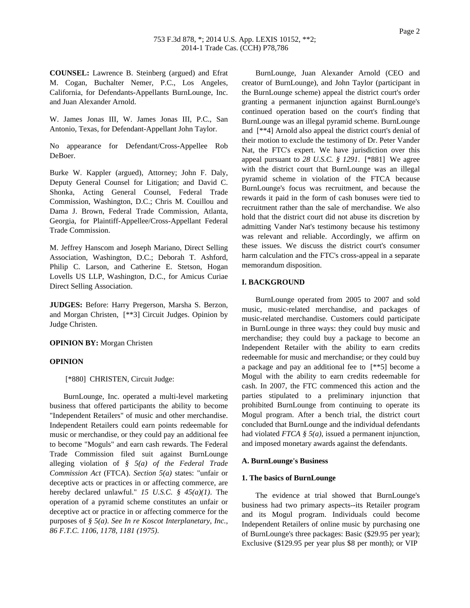**COUNSEL:** Lawrence B. Steinberg (argued) and Efrat M. Cogan, Buchalter Nemer, P.C., Los Angeles, California, for Defendants-Appellants BurnLounge, Inc. and Juan Alexander Arnold.

W. James Jonas III, W. James Jonas III, P.C., San Antonio, Texas, for Defendant-Appellant John Taylor.

No appearance for Defendant/Cross-Appellee Rob DeBoer.

Burke W. Kappler (argued), Attorney; John F. Daly, Deputy General Counsel for Litigation; and David C. Shonka, Acting General Counsel, Federal Trade Commission, Washington, D.C.; Chris M. Couillou and Dama J. Brown, Federal Trade Commission, Atlanta, Georgia, for Plaintiff-Appellee/Cross-Appellant Federal Trade Commission.

M. Jeffrey Hanscom and Joseph Mariano, Direct Selling Association, Washington, D.C.; Deborah T. Ashford, Philip C. Larson, and Catherine E. Stetson, Hogan Lovells US LLP, Washington, D.C., for Amicus Curiae Direct Selling Association.

**JUDGES:** Before: Harry Pregerson, Marsha S. Berzon, and Morgan Christen, [\*\*3] Circuit Judges. Opinion by Judge Christen.

**OPINION BY:** Morgan Christen

### **OPINION**

[\*880] CHRISTEN, Circuit Judge:

BurnLounge, Inc. operated a multi-level marketing business that offered participants the ability to become "Independent Retailers" of music and other merchandise. Independent Retailers could earn points redeemable for music or merchandise, or they could pay an additional fee to become "Moguls" and earn cash rewards. The Federal Trade Commission filed suit against BurnLounge alleging violation of *§ 5(a) of the Federal Trade Commission Act* (FTCA). *Section 5(a)* states: "unfair or deceptive acts or practices in or affecting commerce, are hereby declared unlawful." *15 U.S.C. § 45(a)(1)*. The operation of a pyramid scheme constitutes an unfair or deceptive act or practice in or affecting commerce for the purposes of *§ 5(a)*. *See In re Koscot Interplanetary, Inc., 86 F.T.C. 1106, 1178, 1181 (1975)*.

BurnLounge, Juan Alexander Arnold (CEO and creator of BurnLounge), and John Taylor (participant in the BurnLounge scheme) appeal the district court's order granting a permanent injunction against BurnLounge's continued operation based on the court's finding that BurnLounge was an illegal pyramid scheme. BurnLounge and [\*\*4] Arnold also appeal the district court's denial of their motion to exclude the testimony of Dr. Peter Vander Nat, the FTC's expert. We have jurisdiction over this appeal pursuant to *28 U.S.C. § 1291*. [\*881] We agree with the district court that BurnLounge was an illegal pyramid scheme in violation of the FTCA because BurnLounge's focus was recruitment, and because the rewards it paid in the form of cash bonuses were tied to recruitment rather than the sale of merchandise. We also hold that the district court did not abuse its discretion by admitting Vander Nat's testimony because his testimony was relevant and reliable. Accordingly, we affirm on these issues. We discuss the district court's consumer harm calculation and the FTC's cross-appeal in a separate memorandum disposition.

## **I. BACKGROUND**

BurnLounge operated from 2005 to 2007 and sold music, music-related merchandise, and packages of music-related merchandise. Customers could participate in BurnLounge in three ways: they could buy music and merchandise; they could buy a package to become an Independent Retailer with the ability to earn credits redeemable for music and merchandise; or they could buy a package and pay an additional fee to [\*\*5] become a Mogul with the ability to earn credits redeemable for cash. In 2007, the FTC commenced this action and the parties stipulated to a preliminary injunction that prohibited BurnLounge from continuing to operate its Mogul program. After a bench trial, the district court concluded that BurnLounge and the individual defendants had violated *FTCA § 5(a)*, issued a permanent injunction, and imposed monetary awards against the defendants.

### **A. BurnLounge's Business**

#### **1. The basics of BurnLounge**

The evidence at trial showed that BurnLounge's business had two primary aspects--its Retailer program and its Mogul program. Individuals could become Independent Retailers of online music by purchasing one of BurnLounge's three packages: Basic (\$29.95 per year); Exclusive (\$129.95 per year plus \$8 per month); or VIP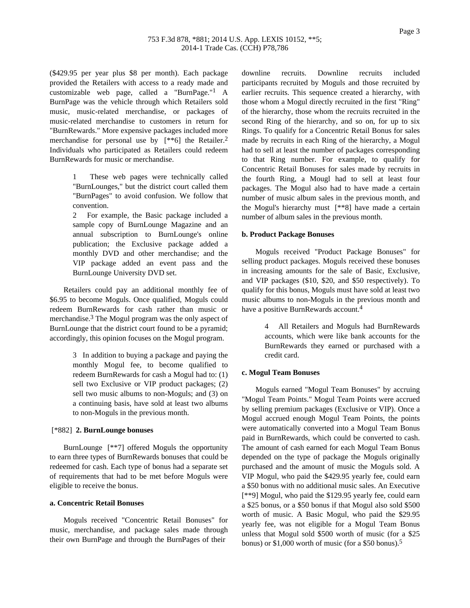(\$429.95 per year plus \$8 per month). Each package provided the Retailers with access to a ready made and customizable web page, called a "BurnPage."1 A BurnPage was the vehicle through which Retailers sold music, music-related merchandise, or packages of music-related merchandise to customers in return for "BurnRewards." More expensive packages included more merchandise for personal use by  $[**6]$  the Retailer.<sup>2</sup> Individuals who participated as Retailers could redeem BurnRewards for music or merchandise.

> These web pages were technically called "BurnLounges," but the district court called them "BurnPages" to avoid confusion. We follow that convention.

> 2 For example, the Basic package included a sample copy of BurnLounge Magazine and an annual subscription to BurnLounge's online publication; the Exclusive package added a monthly DVD and other merchandise; and the VIP package added an event pass and the BurnLounge University DVD set.

Retailers could pay an additional monthly fee of \$6.95 to become Moguls. Once qualified, Moguls could redeem BurnRewards for cash rather than music or merchandise.3 The Mogul program was the only aspect of BurnLounge that the district court found to be a pyramid; accordingly, this opinion focuses on the Mogul program.

> 3 In addition to buying a package and paying the monthly Mogul fee, to become qualified to redeem BurnRewards for cash a Mogul had to: (1) sell two Exclusive or VIP product packages; (2) sell two music albums to non-Moguls; and (3) on a continuing basis, have sold at least two albums to non-Moguls in the previous month.

## [\*882] **2. BurnLounge bonuses**

BurnLounge [\*\*7] offered Moguls the opportunity to earn three types of BurnRewards bonuses that could be redeemed for cash. Each type of bonus had a separate set of requirements that had to be met before Moguls were eligible to receive the bonus.

## **a. Concentric Retail Bonuses**

Moguls received "Concentric Retail Bonuses" for music, merchandise, and package sales made through their own BurnPage and through the BurnPages of their

downline recruits. Downline recruits included participants recruited by Moguls and those recruited by earlier recruits. This sequence created a hierarchy, with those whom a Mogul directly recruited in the first "Ring" of the hierarchy, those whom the recruits recruited in the second Ring of the hierarchy, and so on, for up to six Rings. To qualify for a Concentric Retail Bonus for sales made by recruits in each Ring of the hierarchy, a Mogul had to sell at least the number of packages corresponding to that Ring number. For example, to qualify for Concentric Retail Bonuses for sales made by recruits in the fourth Ring, a Mougl had to sell at least four packages. The Mogul also had to have made a certain number of music album sales in the previous month, and the Mogul's hierarchy must [\*\*8] have made a certain number of album sales in the previous month.

#### **b. Product Package Bonuses**

Moguls received "Product Package Bonuses" for selling product packages. Moguls received these bonuses in increasing amounts for the sale of Basic, Exclusive, and VIP packages (\$10, \$20, and \$50 respectively). To qualify for this bonus, Moguls must have sold at least two music albums to non-Moguls in the previous month and have a positive BurnRewards account.<sup>4</sup>

> 4 All Retailers and Moguls had BurnRewards accounts, which were like bank accounts for the BurnRewards they earned or purchased with a credit card.

### **c. Mogul Team Bonuses**

Moguls earned "Mogul Team Bonuses" by accruing "Mogul Team Points." Mogul Team Points were accrued by selling premium packages (Exclusive or VIP). Once a Mogul accrued enough Mogul Team Points, the points were automatically converted into a Mogul Team Bonus paid in BurnRewards, which could be converted to cash. The amount of cash earned for each Mogul Team Bonus depended on the type of package the Moguls originally purchased and the amount of music the Moguls sold. A VIP Mogul, who paid the \$429.95 yearly fee, could earn a \$50 bonus with no additional music sales. An Executive [\*\*9] Mogul, who paid the \$129.95 yearly fee, could earn a \$25 bonus, or a \$50 bonus if that Mogul also sold \$500 worth of music. A Basic Mogul, who paid the \$29.95 yearly fee, was not eligible for a Mogul Team Bonus unless that Mogul sold \$500 worth of music (for a \$25 bonus) or \$1,000 worth of music (for a \$50 bonus).5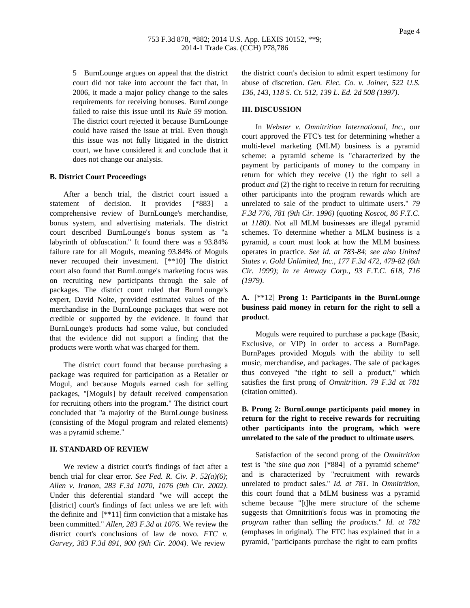5 BurnLounge argues on appeal that the district court did not take into account the fact that, in 2006, it made a major policy change to the sales requirements for receiving bonuses. BurnLounge failed to raise this issue until its *Rule 59* motion. The district court rejected it because BurnLounge could have raised the issue at trial. Even though this issue was not fully litigated in the district court, we have considered it and conclude that it does not change our analysis.

#### **B. District Court Proceedings**

After a bench trial, the district court issued a statement of decision. It provides [\*883] comprehensive review of BurnLounge's merchandise, bonus system, and advertising materials. The district court described BurnLounge's bonus system as "a labyrinth of obfuscation." It found there was a 93.84% failure rate for all Moguls, meaning 93.84% of Moguls never recouped their investment. [\*\*10] The district court also found that BurnLounge's marketing focus was on recruiting new participants through the sale of packages. The district court ruled that BurnLounge's expert, David Nolte, provided estimated values of the merchandise in the BurnLounge packages that were not credible or supported by the evidence. It found that BurnLounge's products had some value, but concluded that the evidence did not support a finding that the products were worth what was charged for them.

The district court found that because purchasing a package was required for participation as a Retailer or Mogul, and because Moguls earned cash for selling packages, "[Moguls] by default received compensation for recruiting others into the program." The district court concluded that "a majority of the BurnLounge business (consisting of the Mogul program and related elements) was a pyramid scheme."

#### **II. STANDARD OF REVIEW**

We review a district court's findings of fact after a bench trial for clear error. *See Fed. R. Civ. P. 52(a)(6)*; *Allen v. Iranon, 283 F.3d 1070, 1076 (9th Cir. 2002)*. Under this deferential standard "we will accept the [district] court's findings of fact unless we are left with the definite and  $[**11]$  firm conviction that a mistake has been committed." *Allen, 283 F.3d at 1076*. We review the district court's conclusions of law de novo. *FTC v. Garvey, 383 F.3d 891, 900 (9th Cir. 2004)*. We review

the district court's decision to admit expert testimony for abuse of discretion. *Gen. Elec. Co. v. Joiner, 522 U.S. 136, 143, 118 S. Ct. 512, 139 L. Ed. 2d 508 (1997)*.

## **III. DISCUSSION**

In *Webster v. Omnitrition International, Inc*., our court approved the FTC's test for determining whether a multi-level marketing (MLM) business is a pyramid scheme: a pyramid scheme is "characterized by the payment by participants of money to the company in return for which they receive (1) the right to sell a product *and* (2) the right to receive in return for recruiting other participants into the program rewards which are unrelated to sale of the product to ultimate users." *79 F.3d 776, 781 (9th Cir. 1996)* (quoting *Koscot, 86 F.T.C. at 1180)*. Not all MLM businesses are illegal pyramid schemes. To determine whether a MLM business is a pyramid, a court must look at how the MLM business operates in practice. *See id. at 783-84*; *see also United States v. Gold Unlimited, Inc., 177 F.3d 472, 479-82 (6th Cir. 1999)*; *In re Amway Corp., 93 F.T.C. 618, 716 (1979)*.

# **A.** [\*\*12] **Prong 1: Participants in the BurnLounge business paid money in return for the right to sell a product**.

Moguls were required to purchase a package (Basic, Exclusive, or VIP) in order to access a BurnPage. BurnPages provided Moguls with the ability to sell music, merchandise, and packages. The sale of packages thus conveyed "the right to sell a product," which satisfies the first prong of *Omnitrition*. *79 F.3d at 781* (citation omitted).

## **B. Prong 2: BurnLounge participants paid money in return for the right to receive rewards for recruiting other participants into the program, which were unrelated to the sale of the product to ultimate users**.

Satisfaction of the second prong of the *Omnitrition* test is "the *sine qua non* [\*884] of a pyramid scheme" and is characterized by "recruitment with rewards unrelated to product sales." *Id. at 781*. In *Omnitrition*, this court found that a MLM business was a pyramid scheme because "[t]he mere structure of the scheme suggests that Omnitrition's focus was in promoting *the program* rather than selling *the products*." *Id. at 782* (emphases in original). The FTC has explained that in a pyramid, "participants purchase the right to earn profits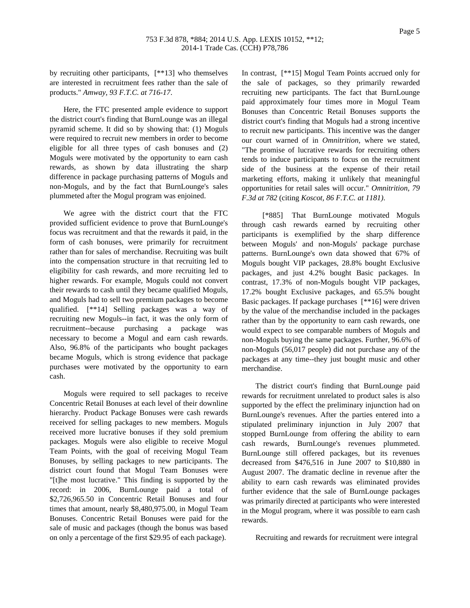by recruiting other participants, [\*\*13] who themselves are interested in recruitment fees rather than the sale of products." *Amway, 93 F.T.C. at 716-17*.

Here, the FTC presented ample evidence to support the district court's finding that BurnLounge was an illegal pyramid scheme. It did so by showing that: (1) Moguls were required to recruit new members in order to become eligible for all three types of cash bonuses and (2) Moguls were motivated by the opportunity to earn cash rewards, as shown by data illustrating the sharp difference in package purchasing patterns of Moguls and non-Moguls, and by the fact that BurnLounge's sales plummeted after the Mogul program was enjoined.

We agree with the district court that the FTC provided sufficient evidence to prove that BurnLounge's focus was recruitment and that the rewards it paid, in the form of cash bonuses, were primarily for recruitment rather than for sales of merchandise. Recruiting was built into the compensation structure in that recruiting led to eligibility for cash rewards, and more recruiting led to higher rewards. For example, Moguls could not convert their rewards to cash until they became qualified Moguls, and Moguls had to sell two premium packages to become qualified. [\*\*14] Selling packages was a way of recruiting new Moguls--in fact, it was the only form of recruitment--because purchasing a package was necessary to become a Mogul and earn cash rewards. Also, 96.8% of the participants who bought packages became Moguls, which is strong evidence that package purchases were motivated by the opportunity to earn cash.

Moguls were required to sell packages to receive Concentric Retail Bonuses at each level of their downline hierarchy. Product Package Bonuses were cash rewards received for selling packages to new members. Moguls received more lucrative bonuses if they sold premium packages. Moguls were also eligible to receive Mogul Team Points, with the goal of receiving Mogul Team Bonuses, by selling packages to new participants. The district court found that Mogul Team Bonuses were "[t]he most lucrative." This finding is supported by the record: in 2006, BurnLounge paid a total of \$2,726,965.50 in Concentric Retail Bonuses and four times that amount, nearly \$8,480,975.00, in Mogul Team Bonuses. Concentric Retail Bonuses were paid for the sale of music and packages (though the bonus was based on only a percentage of the first \$29.95 of each package).

In contrast, [\*\*15] Mogul Team Points accrued only for the sale of packages, so they primarily rewarded recruiting new participants. The fact that BurnLounge paid approximately four times more in Mogul Team Bonuses than Concentric Retail Bonuses supports the district court's finding that Moguls had a strong incentive to recruit new participants. This incentive was the danger our court warned of in *Omnitrition*, where we stated, "The promise of lucrative rewards for recruiting others tends to induce participants to focus on the recruitment side of the business at the expense of their retail marketing efforts, making it unlikely that meaningful opportunities for retail sales will occur." *Omnitrition, 79 F.3d at 782* (citing *Koscot, 86 F.T.C. at 1181)*.

[\*885] That BurnLounge motivated Moguls through cash rewards earned by recruiting other participants is exemplified by the sharp difference between Moguls' and non-Moguls' package purchase patterns. BurnLounge's own data showed that 67% of Moguls bought VIP packages, 28.8% bought Exclusive packages, and just 4.2% bought Basic packages. In contrast, 17.3% of non-Moguls bought VIP packages, 17.2% bought Exclusive packages, and 65.5% bought Basic packages. If package purchases [\*\*16] were driven by the value of the merchandise included in the packages rather than by the opportunity to earn cash rewards, one would expect to see comparable numbers of Moguls and non-Moguls buying the same packages. Further, 96.6% of non-Moguls (56,017 people) did not purchase any of the packages at any time--they just bought music and other merchandise.

The district court's finding that BurnLounge paid rewards for recruitment unrelated to product sales is also supported by the effect the preliminary injunction had on BurnLounge's revenues. After the parties entered into a stipulated preliminary injunction in July 2007 that stopped BurnLounge from offering the ability to earn cash rewards, BurnLounge's revenues plummeted. BurnLounge still offered packages, but its revenues decreased from \$476,516 in June 2007 to \$10,880 in August 2007. The dramatic decline in revenue after the ability to earn cash rewards was eliminated provides further evidence that the sale of BurnLounge packages was primarily directed at participants who were interested in the Mogul program, where it was possible to earn cash rewards.

Recruiting and rewards for recruitment were integral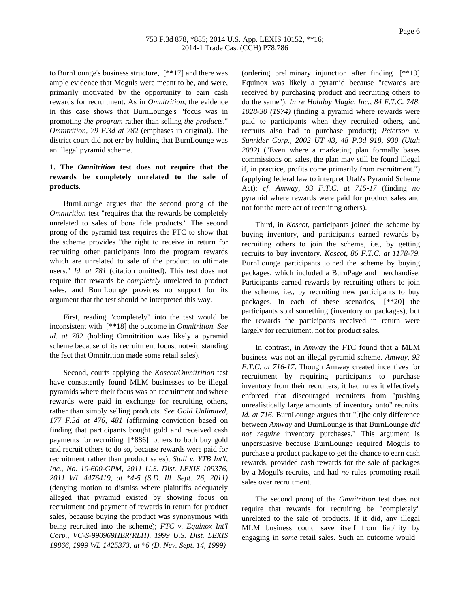to BurnLounge's business structure, [\*\*17] and there was ample evidence that Moguls were meant to be, and were, primarily motivated by the opportunity to earn cash rewards for recruitment. As in *Omnitrition*, the evidence in this case shows that BurnLounge's "focus was in promoting *the program* rather than selling *the products*." *Omnitrition, 79 F.3d at 782* (emphases in original). The district court did not err by holding that BurnLounge was an illegal pyramid scheme.

# **1. The** *Omnitrition* **test does not require that the rewards be completely unrelated to the sale of products**.

BurnLounge argues that the second prong of the *Omnitrition* test "requires that the rewards be completely unrelated to sales of bona fide products." The second prong of the pyramid test requires the FTC to show that the scheme provides "the right to receive in return for recruiting other participants into the program rewards which are unrelated to sale of the product to ultimate users." *Id. at 781* (citation omitted). This test does not require that rewards be *completely* unrelated to product sales, and BurnLounge provides no support for its argument that the test should be interpreted this way.

First, reading "completely" into the test would be inconsistent with [\*\*18] the outcome in *Omnitrition. See id. at 782* (holding Omnitrition was likely a pyramid scheme because of its recruitment focus, notwithstanding the fact that Omnitrition made some retail sales).

Second, courts applying the *Koscot/Omnitrition* test have consistently found MLM businesses to be illegal pyramids where their focus was on recruitment and where rewards were paid in exchange for recruiting others, rather than simply selling products. *See Gold Unlimited, 177 F.3d at 476, 481* (affirming conviction based on finding that participants bought gold and received cash payments for recruiting [\*886] others to both buy gold and recruit others to do so, because rewards were paid for recruitment rather than product sales); *Stull v. YTB Int'l, Inc., No. 10-600-GPM, 2011 U.S. Dist. LEXIS 109376, 2011 WL 4476419, at \*4-5 (S.D. Ill. Sept. 26, 2011)* (denying motion to dismiss where plaintiffs adequately alleged that pyramid existed by showing focus on recruitment and payment of rewards in return for product sales, because buying the product was synonymous with being recruited into the scheme); *FTC v. Equinox Int'l Corp., VC-S-990969HBR(RLH), 1999 U.S. Dist. LEXIS 19866, 1999 WL 1425373, at \*6 (D. Nev. Sept. 14, 1999)*

(ordering preliminary injunction after finding [\*\*19] Equinox was likely a pyramid because "rewards are received by purchasing product and recruiting others to do the same"); *In re Holiday Magic, Inc., 84 F.T.C. 748, 1028-30 (1974)* (finding a pyramid where rewards were paid to participants when they recruited others, and recruits also had to purchase product); *Peterson v. Sunrider Corp., 2002 UT 43, 48 P.3d 918, 930 (Utah 2002)* ("Even where a marketing plan formally bases commissions on sales, the plan may still be found illegal if, in practice, profits come primarily from recruitment.") (applying federal law to interpret Utah's Pyramid Scheme Act); *cf. Amway, 93 F.T.C. at 715-17* (finding *no* pyramid where rewards were paid for product sales and not for the mere act of recruiting others).

Third, in *Koscot*, participants joined the scheme by buying inventory, and participants earned rewards by recruiting others to join the scheme, i.e., by getting recruits to buy inventory. *Koscot, 86 F.T.C. at 1178-79*. BurnLounge participants joined the scheme by buying packages, which included a BurnPage and merchandise. Participants earned rewards by recruiting others to join the scheme, i.e., by recruiting new participants to buy packages. In each of these scenarios, [\*\*20] the participants sold something (inventory or packages), but the rewards the participants received in return were largely for recruitment, not for product sales.

In contrast, in *Amway* the FTC found that a MLM business was not an illegal pyramid scheme. *Amway, 93 F.T.C. at 716-17*. Though Amway created incentives for recruitment by requiring participants to purchase inventory from their recruiters, it had rules it effectively enforced that discouraged recruiters from "pushing unrealistically large amounts of inventory onto" recruits. *Id. at 716*. BurnLounge argues that "[t]he only difference between *Amway* and BurnLounge is that BurnLounge *did not require* inventory purchases." This argument is unpersuasive because BurnLounge required Moguls to purchase a product package to get the chance to earn cash rewards, provided cash rewards for the sale of packages by a Mogul's recruits, and had *no* rules promoting retail sales over recruitment.

The second prong of the *Omnitrition* test does not require that rewards for recruiting be "completely" unrelated to the sale of products. If it did, any illegal MLM business could save itself from liability by engaging in *some* retail sales. Such an outcome would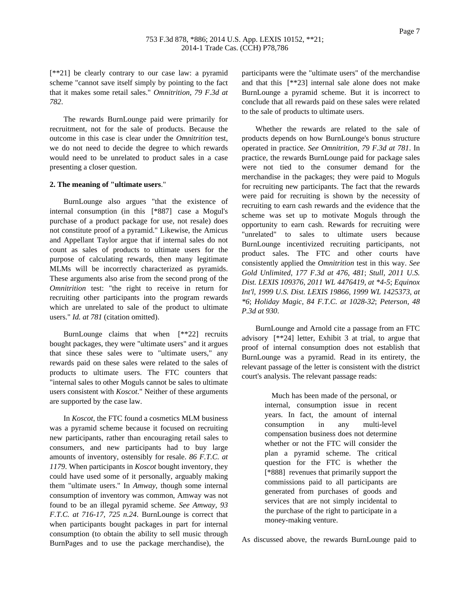[\*\*21] be clearly contrary to our case law: a pyramid scheme "cannot save itself simply by pointing to the fact that it makes some retail sales." *Omnitrition, 79 F.3d at 782*.

The rewards BurnLounge paid were primarily for recruitment, not for the sale of products. Because the outcome in this case is clear under the *Omnitrition* test, we do not need to decide the degree to which rewards would need to be unrelated to product sales in a case presenting a closer question.

### **2. The meaning of "ultimate users**."

BurnLounge also argues "that the existence of internal consumption (in this [\*887] case a Mogul's purchase of a product package for use, not resale) does not constitute proof of a pyramid." Likewise, the Amicus and Appellant Taylor argue that if internal sales do not count as sales of products to ultimate users for the purpose of calculating rewards, then many legitimate MLMs will be incorrectly characterized as pyramids. These arguments also arise from the second prong of the *Omnitrition* test: "the right to receive in return for recruiting other participants into the program rewards which are unrelated to sale of the product to ultimate users." *Id. at 781* (citation omitted).

BurnLounge claims that when [\*\*22] recruits bought packages, they were "ultimate users" and it argues that since these sales were to "ultimate users," any rewards paid on these sales were related to the sales of products to ultimate users. The FTC counters that "internal sales to other Moguls cannot be sales to ultimate users consistent with *Koscot*." Neither of these arguments are supported by the case law.

In *Koscot*, the FTC found a cosmetics MLM business was a pyramid scheme because it focused on recruiting new participants, rather than encouraging retail sales to consumers, and new participants had to buy large amounts of inventory, ostensibly for resale. *86 F.T.C. at 1179*. When participants in *Koscot* bought inventory, they could have used some of it personally, arguably making them "ultimate users." In *Amway*, though some internal consumption of inventory was common, Amway was not found to be an illegal pyramid scheme. *See Amway, 93 F.T.C. at 716-17, 725 n.24*. BurnLounge is correct that when participants bought packages in part for internal consumption (to obtain the ability to sell music through BurnPages and to use the package merchandise), the

participants were the "ultimate users" of the merchandise and that this [\*\*23] internal sale alone does not make BurnLounge a pyramid scheme. But it is incorrect to conclude that all rewards paid on these sales were related to the sale of products to ultimate users.

Whether the rewards are related to the sale of products depends on how BurnLounge's bonus structure operated in practice. *See Omnitrition, 79 F.3d at 781*. In practice, the rewards BurnLounge paid for package sales were not tied to the consumer demand for the merchandise in the packages; they were paid to Moguls for recruiting new participants. The fact that the rewards were paid for recruiting is shown by the necessity of recruiting to earn cash rewards and the evidence that the scheme was set up to motivate Moguls through the opportunity to earn cash. Rewards for recruiting were "unrelated" to sales to ultimate users because BurnLounge incentivized recruiting participants, not product sales. The FTC and other courts have consistently applied the *Omnitrition* test in this way. *See Gold Unlimited, 177 F.3d at 476, 481*; *Stull, 2011 U.S. Dist. LEXIS 109376, 2011 WL 4476419, at \*4-5*; *Equinox Int'l, 1999 U.S. Dist. LEXIS 19866, 1999 WL 1425373, at \*6*; *Holiday Magic, 84 F.T.C. at 1028-32*; *Peterson, 48 P.3d at 930*.

BurnLounge and Arnold cite a passage from an FTC advisory [\*\*24] letter, Exhibit 3 at trial, to argue that proof of internal consumption does not establish that BurnLounge was a pyramid. Read in its entirety, the relevant passage of the letter is consistent with the district court's analysis. The relevant passage reads:

> Much has been made of the personal, or internal, consumption issue in recent years. In fact, the amount of internal consumption in any multi-level compensation business does not determine whether or not the FTC will consider the plan a pyramid scheme. The critical question for the FTC is whether the [\*888] revenues that primarily support the commissions paid to all participants are generated from purchases of goods and services that are not simply incidental to the purchase of the right to participate in a money-making venture.

As discussed above, the rewards BurnLounge paid to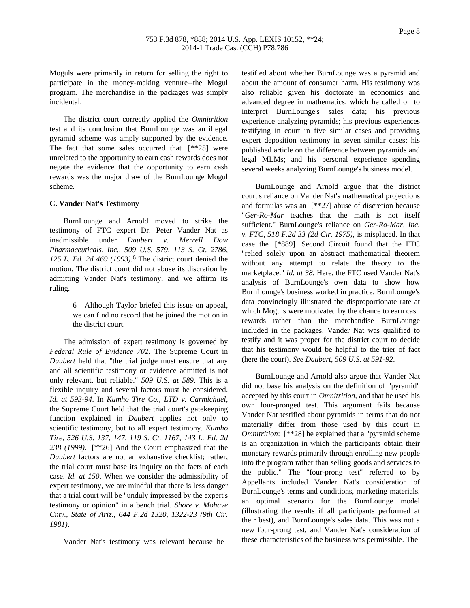Moguls were primarily in return for selling the right to participate in the money-making venture--the Mogul program. The merchandise in the packages was simply incidental.

The district court correctly applied the *Omnitrition* test and its conclusion that BurnLounge was an illegal pyramid scheme was amply supported by the evidence. The fact that some sales occurred that  $[**25]$  were unrelated to the opportunity to earn cash rewards does not negate the evidence that the opportunity to earn cash rewards was the major draw of the BurnLounge Mogul scheme.

#### **C. Vander Nat's Testimony**

BurnLounge and Arnold moved to strike the testimony of FTC expert Dr. Peter Vander Nat as inadmissible under *Daubert v. Merrell Dow Pharmaceuticals, Inc., 509 U.S. 579, 113 S. Ct. 2786, 125 L. Ed. 2d 469 (1993)*. 6 The district court denied the motion. The district court did not abuse its discretion by admitting Vander Nat's testimony, and we affirm its ruling.

> 6 Although Taylor briefed this issue on appeal, we can find no record that he joined the motion in the district court.

The admission of expert testimony is governed by *Federal Rule of Evidence 702*. The Supreme Court in *Daubert* held that "the trial judge must ensure that any and all scientific testimony or evidence admitted is not only relevant, but reliable." *509 U.S. at 589*. This is a flexible inquiry and several factors must be considered. *Id. at 593-94*. In *Kumho Tire Co., LTD v. Carmichael*, the Supreme Court held that the trial court's gatekeeping function explained in *Daubert* applies not only to scientific testimony, but to all expert testimony. *Kumho Tire, 526 U.S. 137, 147, 119 S. Ct. 1167, 143 L. Ed. 2d 238 (1999)*. [\*\*26] And the Court emphasized that the *Daubert* factors are not an exhaustive checklist; rather, the trial court must base its inquiry on the facts of each case. *Id. at 150*. When we consider the admissibility of expert testimony, we are mindful that there is less danger that a trial court will be "unduly impressed by the expert's testimony or opinion" in a bench trial. *Shore v. Mohave Cnty., State of Ariz., 644 F.2d 1320, 1322-23 (9th Cir. 1981)*.

Vander Nat's testimony was relevant because he

testified about whether BurnLounge was a pyramid and about the amount of consumer harm. His testimony was also reliable given his doctorate in economics and advanced degree in mathematics, which he called on to interpret BurnLounge's sales data; his previous experience analyzing pyramids; his previous experiences testifying in court in five similar cases and providing expert deposition testimony in seven similar cases; his published article on the difference between pyramids and legal MLMs; and his personal experience spending several weeks analyzing BurnLounge's business model.

BurnLounge and Arnold argue that the district court's reliance on Vander Nat's mathematical projections and formulas was an [\*\*27] abuse of discretion because "*Ger-Ro-Mar* teaches that the math is not itself sufficient." BurnLounge's reliance on *Ger-Ro-Mar, Inc. v. FTC, 518 F.2d 33 (2d Cir. 1975)*, is misplaced. In that case the [\*889] Second Circuit found that the FTC "relied solely upon an abstract mathematical theorem without any attempt to relate the theory to the marketplace." *Id. at 38*. Here, the FTC used Vander Nat's analysis of BurnLounge's own data to show how BurnLounge's business worked in practice. BurnLounge's data convincingly illustrated the disproportionate rate at which Moguls were motivated by the chance to earn cash rewards rather than the merchandise BurnLounge included in the packages. Vander Nat was qualified to testify and it was proper for the district court to decide that his testimony would be helpful to the trier of fact (here the court). *See Daubert, 509 U.S. at 591-92*.

BurnLounge and Arnold also argue that Vander Nat did not base his analysis on the definition of "pyramid" accepted by this court in *Omnitrition*, and that he used his own four-pronged test. This argument fails because Vander Nat testified about pyramids in terms that do not materially differ from those used by this court in *Omnitrition*: [\*\*28] he explained that a "pyramid scheme" is an organization in which the participants obtain their monetary rewards primarily through enrolling new people into the program rather than selling goods and services to the public." The "four-prong test" referred to by Appellants included Vander Nat's consideration of BurnLounge's terms and conditions, marketing materials, an optimal scenario for the BurnLounge model (illustrating the results if all participants performed at their best), and BurnLounge's sales data. This was not a new four-prong test, and Vander Nat's consideration of these characteristics of the business was permissible. The